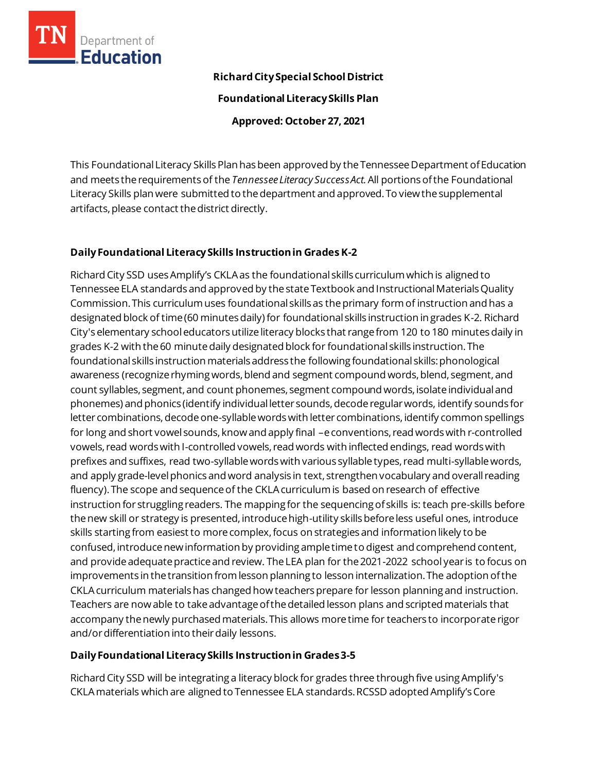

### **Richard City Special School District**

**Foundational Literacy Skills Plan**

**Approved: October 27, 2021**

This Foundational Literacy Skills Plan has been approved by the Tennessee Department of Education and meets the requirements of the *Tennessee Literacy Success Act.*All portions of the Foundational Literacy Skills plan were submitted to the department and approved. To view the supplemental artifacts, please contact the district directly.

### **Daily Foundational Literacy Skills Instruction in Grades K-2**

Richard City SSD uses Amplify's CKLA as the foundational skills curriculum which is aligned to Tennessee ELA standards and approved by the state Textbook and Instructional Materials Quality Commission. This curriculum uses foundational skills as the primary form of instruction and has a designated block of time (60 minutes daily) for foundational skills instruction in grades K-2. Richard City's elementary school educators utilize literacy blocks that range from 120 to 180 minutes daily in grades K-2 with the 60 minute daily designated block for foundational skills instruction. The foundational skills instruction materials address the following foundational skills: phonological awareness (recognize rhyming words, blend and segment compound words, blend, segment, and count syllables, segment, and count phonemes, segment compound words, isolate individual and phonemes) and phonics (identify individual letter sounds, decode regular words, identify sounds for letter combinations, decode one-syllable words with letter combinations, identify common spellings for long and short vowel sounds, know and apply final –e conventions, read words with r-controlled vowels, read words with I-controlled vowels, read words with inflected endings, read words with prefixes and suffixes, read two-syllable words with various syllable types, read multi-syllable words, and apply grade-level phonics and word analysis in text, strengthen vocabulary and overall reading fluency). The scope and sequence of the CKLA curriculum is based on research of effective instruction for struggling readers. The mapping for the sequencing of skills is: teach pre-skills before the new skill or strategy is presented, introduce high-utility skills before less useful ones, introduce skills starting from easiest to more complex, focus on strategies and information likely to be confused, introduce new information by providing ample time to digest and comprehend content, and provide adequate practice and review. The LEA plan for the 2021-2022 school year is to focus on improvements in the transition from lesson planning to lesson internalization. The adoption of the CKLA curriculum materials has changed how teachers prepare for lesson planning and instruction. Teachers are now able to take advantage of the detailed lesson plans and scripted materials that accompany the newly purchased materials. This allows more time for teachers to incorporate rigor and/or differentiation into their daily lessons.

#### **Daily Foundational Literacy Skills Instruction in Grades 3-5**

Richard City SSD will be integrating a literacy block for grades three through five using Amplify's CKLAmaterials which are aligned to Tennessee ELA standards. RCSSD adopted Amplify's Core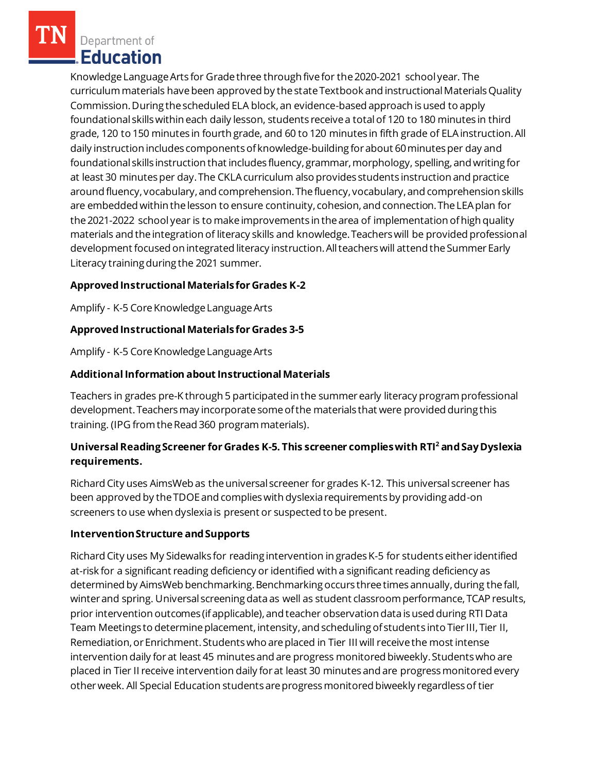Department of **Education** 

Knowledge Language Arts for Grade three through five for the 2020-2021 school year. The curriculum materials have been approved by the state Textbook and instructional Materials Quality Commission. During the scheduled ELA block, an evidence-based approach is used to apply foundational skills within each daily lesson, students receive a total of 120 to 180 minutes in third grade, 120 to 150 minutes in fourth grade, and 60 to 120 minutes in fifth grade of ELA instruction. All daily instruction includes components of knowledge-building for about 60 minutes per day and foundational skills instruction that includes fluency, grammar, morphology, spelling, and writing for at least 30 minutes per day. The CKLA curriculum also provides students instruction and practice around fluency, vocabulary, and comprehension. The fluency, vocabulary, and comprehension skills are embedded within the lesson to ensure continuity, cohesion, and connection. The LEA plan for the 2021-2022 school year is to make improvements in the area of implementation of high quality materials and the integration of literacy skills and knowledge. Teachers will be provided professional development focused on integrated literacy instruction. All teachers will attend the Summer Early Literacy training during the 2021 summer.

## **Approved Instructional Materials for Grades K-2**

Amplify - K-5 Core Knowledge Language Arts

### **Approved Instructional Materials for Grades 3-5**

Amplify - K-5 Core Knowledge Language Arts

### **Additional Information about Instructional Materials**

Teachers in grades pre-K through 5 participated in the summer early literacy program professional development. Teachers may incorporate some of the materials that were provided during this training. (IPG from the Read 360 program materials).

## **Universal Reading Screener for Grades K-5. This screener complies with RTI<sup>2</sup>and Say Dyslexia requirements.**

Richard City uses AimsWeb as the universal screener for grades K-12. This universal screener has been approved by the TDOE and complies with dyslexia requirements by providing add-on screeners to use when dyslexia is present or suspected to be present.

### **Intervention Structure and Supports**

Richard City uses My Sidewalks for reading intervention in grades K-5 for students either identified at-risk for a significant reading deficiency or identified with a significant reading deficiency as determined by AimsWeb benchmarking. Benchmarking occurs three times annually, during the fall, winter and spring. Universal screening data as well as student classroom performance, TCAP results, prior intervention outcomes (if applicable), and teacher observation data is used during RTI Data Team Meetings to determine placement, intensity, and scheduling of students into Tier III, Tier II, Remediation, or Enrichment. Students who are placed in Tier III will receive the most intense intervention daily for at least 45 minutes and are progress monitored biweekly. Students who are placed in Tier II receive intervention daily for at least 30 minutes and are progress monitored every other week. All Special Education students are progress monitored biweekly regardless of tier